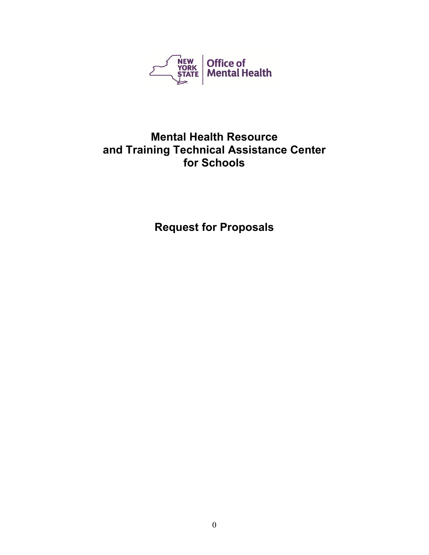

# **Mental Health Resource and Training Technical Assistance Center for Schools**

**Request for Proposals**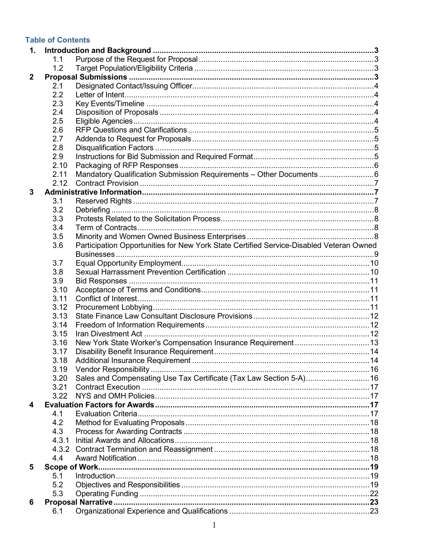## **Table of Contents**

| 1.           |       |                                                                                         |  |  |
|--------------|-------|-----------------------------------------------------------------------------------------|--|--|
|              | 1.1   |                                                                                         |  |  |
|              | 1.2   |                                                                                         |  |  |
| $\mathbf{2}$ |       |                                                                                         |  |  |
|              | 2.1   |                                                                                         |  |  |
|              | 2.2   |                                                                                         |  |  |
|              | 2.3   |                                                                                         |  |  |
|              | 2.4   |                                                                                         |  |  |
|              | 2.5   |                                                                                         |  |  |
|              | 2.6   |                                                                                         |  |  |
|              | 2.7   |                                                                                         |  |  |
|              | 2.8   |                                                                                         |  |  |
|              | 2.9   |                                                                                         |  |  |
|              | 2.10  |                                                                                         |  |  |
|              | 2.11  | Mandatory Qualification Submission Requirements - Other Documents 6                     |  |  |
|              | 2.12  |                                                                                         |  |  |
| $\mathbf{3}$ |       |                                                                                         |  |  |
|              | 3.1   |                                                                                         |  |  |
|              | 3.2   |                                                                                         |  |  |
|              | 3.3   |                                                                                         |  |  |
|              | 3.4   |                                                                                         |  |  |
|              | 3.5   |                                                                                         |  |  |
|              | 3.6   | Participation Opportunities for New York State Certified Service-Disabled Veteran Owned |  |  |
|              |       |                                                                                         |  |  |
|              | 3.7   |                                                                                         |  |  |
|              | 3.8   |                                                                                         |  |  |
|              | 3.9   |                                                                                         |  |  |
|              | 3.10  |                                                                                         |  |  |
|              | 3.11  |                                                                                         |  |  |
|              | 3.12  |                                                                                         |  |  |
|              | 3.13  |                                                                                         |  |  |
|              | 3.14  |                                                                                         |  |  |
|              | 3.15  |                                                                                         |  |  |
|              | 3.16  | New York State Worker's Compensation Insurance Requirement 13                           |  |  |
|              | 3.17  |                                                                                         |  |  |
|              | 3.18  |                                                                                         |  |  |
|              | 3.19  |                                                                                         |  |  |
|              | 3.20  | Sales and Compensating Use Tax Certificate (Tax Law Section 5-A) 16                     |  |  |
|              | 3.21  |                                                                                         |  |  |
|              | 3.22  |                                                                                         |  |  |
| 4            |       |                                                                                         |  |  |
|              | 4.1   |                                                                                         |  |  |
|              | 4.2   |                                                                                         |  |  |
|              | 4.3   |                                                                                         |  |  |
|              | 4.3.1 |                                                                                         |  |  |
|              | 4.3.2 |                                                                                         |  |  |
|              | 4.4   |                                                                                         |  |  |
| 5            |       |                                                                                         |  |  |
|              | 5.1   |                                                                                         |  |  |
|              | 5.2   |                                                                                         |  |  |
|              | 5.3   |                                                                                         |  |  |
| 6            |       |                                                                                         |  |  |
|              | 6.1   |                                                                                         |  |  |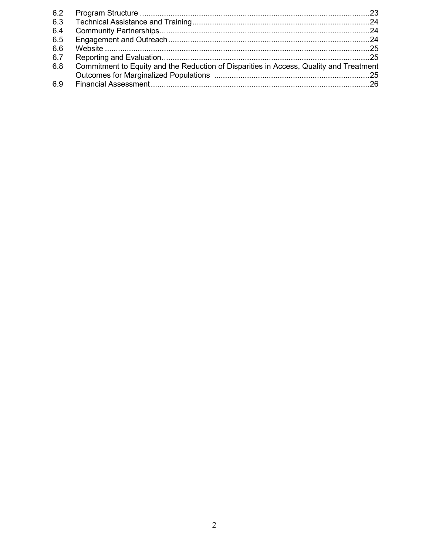| 6.3 |                                                                                        |  |
|-----|----------------------------------------------------------------------------------------|--|
| 6.4 |                                                                                        |  |
| 6.5 |                                                                                        |  |
| 6.6 |                                                                                        |  |
| 6.7 |                                                                                        |  |
| 6.8 | Commitment to Equity and the Reduction of Disparities in Access, Quality and Treatment |  |
|     |                                                                                        |  |
| 6.9 |                                                                                        |  |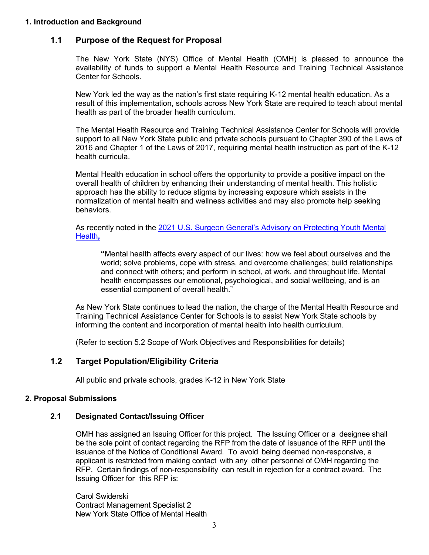#### **1. Introduction and Background**

## **1.1 Purpose of the Request for Proposal**

The New York State (NYS) Office of Mental Health (OMH) is pleased to announce the availability of funds to support a Mental Health Resource and Training Technical Assistance Center for Schools.

New York led the way as the nation's first state requiring K-12 mental health education. As a result of this implementation, schools across New York State are required to teach about mental health as part of the broader health curriculum.

The Mental Health Resource and Training Technical Assistance Center for Schools will provide support to all New York State public and private schools pursuant to Chapter 390 of the Laws of 2016 and Chapter 1 of the Laws of 2017, requiring mental health instruction as part of the K-12 health curricula.

Mental Health education in school offers the opportunity to provide a positive impact on the overall health of children by enhancing their understanding of mental health. This holistic approach has the ability to reduce stigma by increasing exposure which assists in the normalization of mental health and wellness activities and may also promote help seeking behaviors.

As recently noted in the [2021 U.S. Surgeon General's Advisory on](https://www.hhs.gov/sites/default/files/surgeon-general-youth-mental-health-advisory.pdf) Protecting Youth Mental [Health](https://www.hhs.gov/sites/default/files/surgeon-general-youth-mental-health-advisory.pdf)**,** 

**"**Mental health affects every aspect of our lives: how we feel about ourselves and the world; solve problems, cope with stress, and overcome challenges; build relationships and connect with others; and perform in school, at work, and throughout life. Mental health encompasses our emotional, psychological, and social wellbeing, and is an essential component of overall health."

As New York State continues to lead the nation, the charge of the Mental Health Resource and Training Technical Assistance Center for Schools is to assist New York State schools by informing the content and incorporation of mental health into health curriculum.

(Refer to section 5.2 Scope of Work Objectives and Responsibilities for details)

## **1.2 Target Population/Eligibility Criteria**

All public and private schools, grades K-12 in New York State

## **2. Proposal Submissions**

#### **2.1 Designated Contact/Issuing Officer**

 OMH has assigned an Issuing Officer for this project. The Issuing Officer or a designee shall be the sole point of contact regarding the RFP from the date of issuance of the RFP until the issuance of the Notice of Conditional Award. To avoid being deemed non-responsive, a applicant is restricted from making contact with any other personnel of OMH regarding the RFP. Certain findings of non-responsibility can result in rejection for a contract award. The Issuing Officer for this RFP is:

Carol Swiderski Contract Management Specialist 2 New York State Office of Mental Health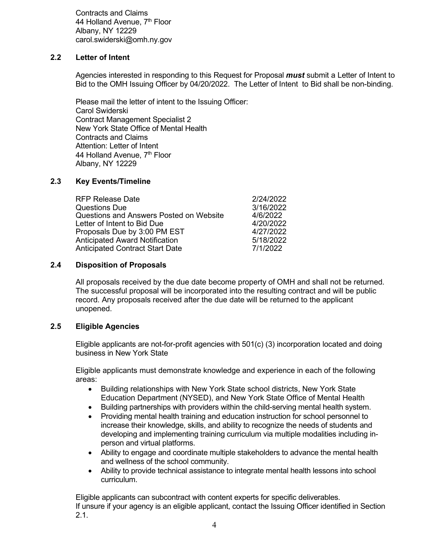Contracts and Claims 44 Holland Avenue, 7<sup>th</sup> Floor Albany, NY 12229 carol.swiderski@omh.ny.gov

## **2.2 Letter of Intent**

Agencies interested in responding to this Request for Proposal *must* submit a Letter of Intent to Bid to the OMH Issuing Officer by 04/20/2022. The Letter of Intent to Bid shall be non-binding.

Please mail the letter of intent to the Issuing Officer: Carol Swiderski Contract Management Specialist 2 New York State Office of Mental Health Contracts and Claims Attention: Letter of Intent 44 Holland Avenue, 7<sup>th</sup> Floor Albany, NY 12229

#### **2.3 Key Events/Timeline**

| <b>RFP Release Date</b>                 | 2/24/2022 |
|-----------------------------------------|-----------|
| Questions Due                           | 3/16/2022 |
| Questions and Answers Posted on Website | 4/6/2022  |
| Letter of Intent to Bid Due             | 4/20/2022 |
| Proposals Due by 3:00 PM EST            | 4/27/2022 |
| <b>Anticipated Award Notification</b>   | 5/18/2022 |
| <b>Anticipated Contract Start Date</b>  | 7/1/2022  |
|                                         |           |

#### **2.4 Disposition of Proposals**

All proposals received by the due date become property of OMH and shall not be returned. The successful proposal will be incorporated into the resulting contract and will be public record. Any proposals received after the due date will be returned to the applicant unopened.

## **2.5 Eligible Agencies**

Eligible applicants are not-for-profit agencies with 501(c) (3) incorporation located and doing business in New York State

Eligible applicants must demonstrate knowledge and experience in each of the following areas:

- Building relationships with New York State school districts, New York State Education Department (NYSED), and New York State Office of Mental Health
- Building partnerships with providers within the child-serving mental health system.
- Providing mental health training and education instruction for school personnel to increase their knowledge, skills, and ability to recognize the needs of students and developing and implementing training curriculum via multiple modalities including inperson and virtual platforms.
- Ability to engage and coordinate multiple stakeholders to advance the mental health and wellness of the school community.
- Ability to provide technical assistance to integrate mental health lessons into school curriculum.

Eligible applicants can subcontract with content experts for specific deliverables. If unsure if your agency is an eligible applicant, contact the Issuing Officer identified in Section 2.1.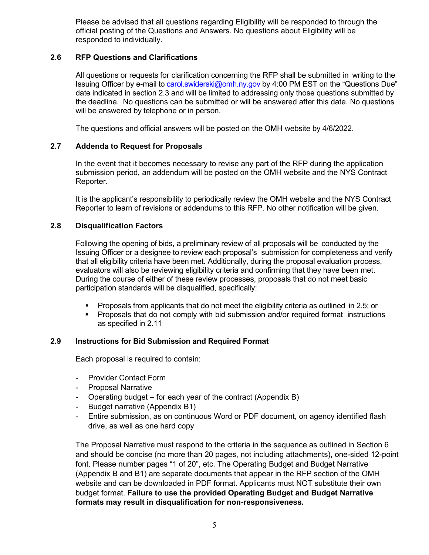Please be advised that all questions regarding Eligibility will be responded to through the official posting of the Questions and Answers. No questions about Eligibility will be responded to individually.

## **2.6 RFP Questions and Clarifications**

All questions or requests for clarification concerning the RFP shall be submitted in writing to the Issuing Officer by e-mail to [carol.swiderski@omh.ny.gov](mailto:carol.swiderski@omh.ny.gov) by 4:00 PM EST on the "Questions Due" date indicated in section 2.3 and will be limited to addressing only those questions submitted by the deadline. No questions can be submitted or will be answered after this date. No questions will be answered by telephone or in person.

The questions and official answers will be posted on the OMH website by 4/6/2022.

## **2.7 Addenda to Request for Proposals**

In the event that it becomes necessary to revise any part of the RFP during the application submission period, an addendum will be posted on the OMH website and the NYS Contract Reporter.

It is the applicant's responsibility to periodically review the OMH website and the NYS Contract Reporter to learn of revisions or addendums to this RFP. No other notification will be given.

#### **2.8 Disqualification Factors**

Following the opening of bids, a preliminary review of all proposals will be conducted by the Issuing Officer or a designee to review each proposal's submission for completeness and verify that all eligibility criteria have been met. Additionally, during the proposal evaluation process, evaluators will also be reviewing eligibility criteria and confirming that they have been met. During the course of either of these review processes, proposals that do not meet basic participation standards will be disqualified, specifically:

- Proposals from applicants that do not meet the eligibility criteria as outlined in 2.5; or
- **Proposals that do not comply with bid submission and/or required format instructions** as specified in 2.11

#### **2.9 Instructions for Bid Submission and Required Format**

Each proposal is required to contain:

- Provider Contact Form
- Proposal Narrative
- Operating budget for each year of the contract (Appendix B)
- Budget narrative (Appendix B1)
- Entire submission, as on continuous Word or PDF document, on agency identified flash drive, as well as one hard copy

The Proposal Narrative must respond to the criteria in the sequence as outlined in Section 6 and should be concise (no more than 20 pages, not including attachments), one-sided 12-point font. Please number pages "1 of 20", etc. The Operating Budget and Budget Narrative (Appendix B and B1) are separate documents that appear in the RFP section of the OMH website and can be downloaded in PDF format. Applicants must NOT substitute their own budget format. **Failure to use the provided Operating Budget and Budget Narrative formats may result in disqualification for non-responsiveness.**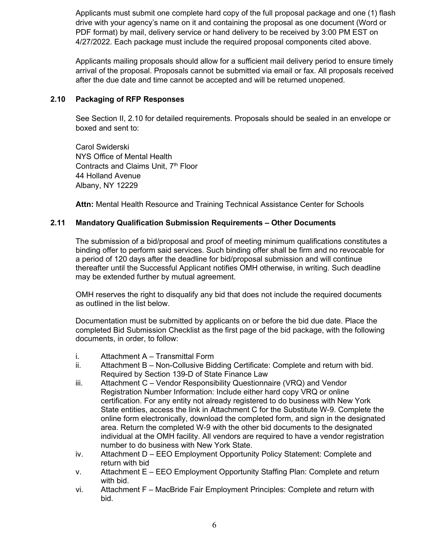Applicants must submit one complete hard copy of the full proposal package and one (1) flash drive with your agency's name on it and containing the proposal as one document (Word or PDF format) by mail, delivery service or hand delivery to be received by 3:00 PM EST on 4/27/2022. Each package must include the required proposal components cited above.

Applicants mailing proposals should allow for a sufficient mail delivery period to ensure timely arrival of the proposal. Proposals cannot be submitted via email or fax. All proposals received after the due date and time cannot be accepted and will be returned unopened.

### **2.10 Packaging of RFP Responses**

See Section II, 2.10 for detailed requirements. Proposals should be sealed in an envelope or boxed and sent to:

Carol Swiderski NYS Office of Mental Health Contracts and Claims Unit, 7<sup>th</sup> Floor 44 Holland Avenue Albany, NY 12229

**Attn:** Mental Health Resource and Training Technical Assistance Center for Schools

## **2.11 Mandatory Qualification Submission Requirements – Other Documents**

The submission of a bid/proposal and proof of meeting minimum qualifications constitutes a binding offer to perform said services. Such binding offer shall be firm and no revocable for a period of 120 days after the deadline for bid/proposal submission and will continue thereafter until the Successful Applicant notifies OMH otherwise, in writing. Such deadline may be extended further by mutual agreement.

OMH reserves the right to disqualify any bid that does not include the required documents as outlined in the list below.

Documentation must be submitted by applicants on or before the bid due date. Place the completed Bid Submission Checklist as the first page of the bid package, with the following documents, in order, to follow:

- i. Attachment A Transmittal Form
- ii. Attachment B Non-Collusive Bidding Certificate: Complete and return with bid. Required by Section 139-D of State Finance Law
- iii. Attachment C Vendor Responsibility Questionnaire (VRQ) and Vendor Registration Number Information: Include either hard copy VRQ or online certification. For any entity not already registered to do business with New York State entities, access the link in Attachment C for the Substitute W-9. Complete the online form electronically, download the completed form, and sign in the designated area. Return the completed W-9 with the other bid documents to the designated individual at the OMH facility. All vendors are required to have a vendor registration number to do business with New York State.
- iv. Attachment D EEO Employment Opportunity Policy Statement: Complete and return with bid
- v. Attachment E EEO Employment Opportunity Staffing Plan: Complete and return with bid.
- vi. Attachment F MacBride Fair Employment Principles: Complete and return with bid.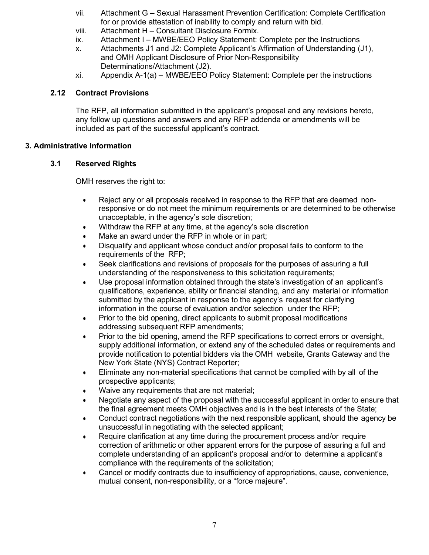- vii. Attachment G Sexual Harassment Prevention Certification: Complete Certification for or provide attestation of inability to comply and return with bid.
- viii. Attachment H Consultant Disclosure Formix.
- ix. Attachment I MWBE/EEO Policy Statement: Complete per the Instructions
- x. Attachments J1 and J2: Complete Applicant's Affirmation of Understanding (J1), and OMH Applicant Disclosure of Prior Non-Responsibility Determinations/Attachment (J2).
- xi. Appendix A-1(a) MWBE/EEO Policy Statement: Complete per the instructions

## **2.12 Contract Provisions**

The RFP, all information submitted in the applicant's proposal and any revisions hereto, any follow up questions and answers and any RFP addenda or amendments will be included as part of the successful applicant's contract.

## **3. Administrative Information**

## **3.1 Reserved Rights**

OMH reserves the right to:

- Reject any or all proposals received in response to the RFP that are deemed nonresponsive or do not meet the minimum requirements or are determined to be otherwise unacceptable, in the agency's sole discretion;
- Withdraw the RFP at any time, at the agency's sole discretion
- Make an award under the RFP in whole or in part;
- Disqualify and applicant whose conduct and/or proposal fails to conform to the requirements of the RFP;
- Seek clarifications and revisions of proposals for the purposes of assuring a full understanding of the responsiveness to this solicitation requirements;
- Use proposal information obtained through the state's investigation of an applicant's qualifications, experience, ability or financial standing, and any material or information submitted by the applicant in response to the agency's request for clarifying information in the course of evaluation and/or selection under the RFP;
- Prior to the bid opening, direct applicants to submit proposal modifications addressing subsequent RFP amendments;
- Prior to the bid opening, amend the RFP specifications to correct errors or oversight, supply additional information, or extend any of the scheduled dates or requirements and provide notification to potential bidders via the OMH website, Grants Gateway and the New York State (NYS) Contract Reporter;
- Eliminate any non-material specifications that cannot be complied with by all of the prospective applicants;
- Waive any requirements that are not material;
- Negotiate any aspect of the proposal with the successful applicant in order to ensure that the final agreement meets OMH objectives and is in the best interests of the State;
- Conduct contract negotiations with the next responsible applicant, should the agency be unsuccessful in negotiating with the selected applicant;
- Require clarification at any time during the procurement process and/or require correction of arithmetic or other apparent errors for the purpose of assuring a full and complete understanding of an applicant's proposal and/or to determine a applicant's compliance with the requirements of the solicitation;
- Cancel or modify contracts due to insufficiency of appropriations, cause, convenience, mutual consent, non-responsibility, or a "force majeure".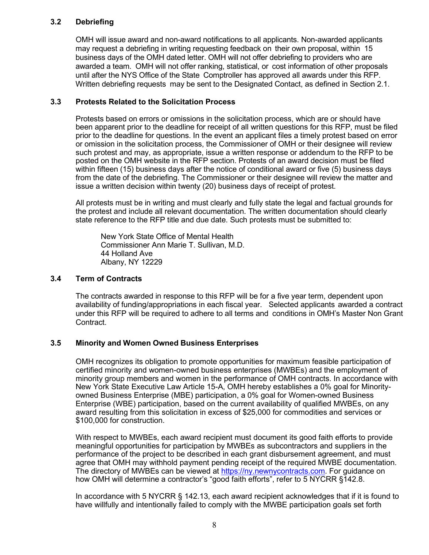## **3.2 Debriefing**

OMH will issue award and non-award notifications to all applicants. Non-awarded applicants may request a debriefing in writing requesting feedback on their own proposal, within 15 business days of the OMH dated letter. OMH will not offer debriefing to providers who are awarded a team. OMH will not offer ranking, statistical, or cost information of other proposals until after the NYS Office of the State Comptroller has approved all awards under this RFP. Written debriefing requests may be sent to the Designated Contact, as defined in Section 2.1.

#### **3.3 Protests Related to the Solicitation Process**

Protests based on errors or omissions in the solicitation process, which are or should have been apparent prior to the deadline for receipt of all written questions for this RFP, must be filed prior to the deadline for questions. In the event an applicant files a timely protest based on error or omission in the solicitation process, the Commissioner of OMH or their designee will review such protest and may, as appropriate, issue a written response or addendum to the RFP to be posted on the OMH website in the RFP section. Protests of an award decision must be filed within fifteen (15) business days after the notice of conditional award or five (5) business days from the date of the debriefing. The Commissioner or their designee will review the matter and issue a written decision within twenty (20) business days of receipt of protest.

All protests must be in writing and must clearly and fully state the legal and factual grounds for the protest and include all relevant documentation. The written documentation should clearly state reference to the RFP title and due date. Such protests must be submitted to:

New York State Office of Mental Health Commissioner Ann Marie T. Sullivan, M.D. 44 Holland Ave Albany, NY 12229

#### **3.4 Term of Contracts**

The contracts awarded in response to this RFP will be for a five year term, dependent upon availability of funding/appropriations in each fiscal year. Selected applicants awarded a contract under this RFP will be required to adhere to all terms and conditions in OMH's Master Non Grant Contract.

## **3.5 Minority and Women Owned Business Enterprises**

OMH recognizes its obligation to promote opportunities for maximum feasible participation of certified minority and women-owned business enterprises (MWBEs) and the employment of minority group members and women in the performance of OMH contracts. In accordance with New York State Executive Law Article 15-A, OMH hereby establishes a 0% goal for Minorityowned Business Enterprise (MBE) participation, a 0% goal for Women-owned Business Enterprise (WBE) participation, based on the current availability of qualified MWBEs, on any award resulting from this solicitation in excess of \$25,000 for commodities and services or \$100,000 for construction.

With respect to MWBEs, each award recipient must document its good faith efforts to provide meaningful opportunities for participation by MWBEs as subcontractors and suppliers in the performance of the project to be described in each grant disbursement agreement, and must agree that OMH may withhold payment pending receipt of the required MWBE documentation. The directory of MWBEs can be viewed at [https://ny.newnycontracts.com.](https://ny.newnycontracts.com/) For guidance on how OMH will determine a contractor's "good faith efforts", refer to 5 NYCRR §142.8.

In accordance with 5 NYCRR § 142.13, each award recipient acknowledges that if it is found to have willfully and intentionally failed to comply with the MWBE participation goals set forth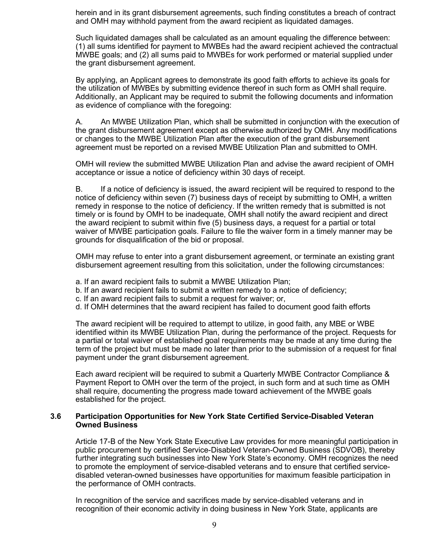herein and in its grant disbursement agreements, such finding constitutes a breach of contract and OMH may withhold payment from the award recipient as liquidated damages.

Such liquidated damages shall be calculated as an amount equaling the difference between: (1) all sums identified for payment to MWBEs had the award recipient achieved the contractual MWBE goals; and (2) all sums paid to MWBEs for work performed or material supplied under the grant disbursement agreement.

By applying, an Applicant agrees to demonstrate its good faith efforts to achieve its goals for the utilization of MWBEs by submitting evidence thereof in such form as OMH shall require. Additionally, an Applicant may be required to submit the following documents and information as evidence of compliance with the foregoing:

A. An MWBE Utilization Plan, which shall be submitted in conjunction with the execution of the grant disbursement agreement except as otherwise authorized by OMH. Any modifications or changes to the MWBE Utilization Plan after the execution of the grant disbursement agreement must be reported on a revised MWBE Utilization Plan and submitted to OMH.

OMH will review the submitted MWBE Utilization Plan and advise the award recipient of OMH acceptance or issue a notice of deficiency within 30 days of receipt.

B. If a notice of deficiency is issued, the award recipient will be required to respond to the notice of deficiency within seven (7) business days of receipt by submitting to OMH, a written remedy in response to the notice of deficiency. If the written remedy that is submitted is not timely or is found by OMH to be inadequate, OMH shall notify the award recipient and direct the award recipient to submit within five (5) business days, a request for a partial or total waiver of MWBE participation goals. Failure to file the waiver form in a timely manner may be grounds for disqualification of the bid or proposal.

OMH may refuse to enter into a grant disbursement agreement, or terminate an existing grant disbursement agreement resulting from this solicitation, under the following circumstances:

- a. If an award recipient fails to submit a MWBE Utilization Plan;
- b. If an award recipient fails to submit a written remedy to a notice of deficiency;
- c. If an award recipient fails to submit a request for waiver; or,
- d. If OMH determines that the award recipient has failed to document good faith efforts

The award recipient will be required to attempt to utilize, in good faith, any MBE or WBE identified within its MWBE Utilization Plan, during the performance of the project. Requests for a partial or total waiver of established goal requirements may be made at any time during the term of the project but must be made no later than prior to the submission of a request for final payment under the grant disbursement agreement.

Each award recipient will be required to submit a Quarterly MWBE Contractor Compliance & Payment Report to OMH over the term of the project, in such form and at such time as OMH shall require, documenting the progress made toward achievement of the MWBE goals established for the project.

#### **3.6 Participation Opportunities for New York State Certified Service-Disabled Veteran Owned Business**

Article 17-B of the New York State Executive Law provides for more meaningful participation in public procurement by certified Service-Disabled Veteran-Owned Business (SDVOB), thereby further integrating such businesses into New York State's economy. OMH recognizes the need to promote the employment of service-disabled veterans and to ensure that certified servicedisabled veteran-owned businesses have opportunities for maximum feasible participation in the performance of OMH contracts.

In recognition of the service and sacrifices made by service-disabled veterans and in recognition of their economic activity in doing business in New York State, applicants are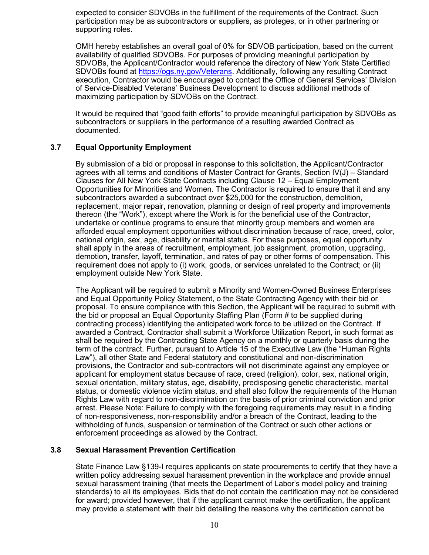expected to consider SDVOBs in the fulfillment of the requirements of the Contract. Such participation may be as subcontractors or suppliers, as proteges, or in other partnering or supporting roles.

OMH hereby establishes an overall goal of 0% for SDVOB participation, based on the current availability of qualified SDVOBs. For purposes of providing meaningful participation by SDVOBs, the Applicant/Contractor would reference the directory of New York State Certified SDVOBs found at [https://ogs.ny.gov/Veterans.](https://ogs.ny.gov/Veterans) Additionally, following any resulting Contract execution, Contractor would be encouraged to contact the Office of General Services' Division of Service-Disabled Veterans' Business Development to discuss additional methods of maximizing participation by SDVOBs on the Contract.

It would be required that "good faith efforts" to provide meaningful participation by SDVOBs as subcontractors or suppliers in the performance of a resulting awarded Contract as documented.

## **3.7 Equal Opportunity Employment**

By submission of a bid or proposal in response to this solicitation, the Applicant/Contractor agrees with all terms and conditions of Master Contract for Grants, Section IV(J) – Standard Clauses for All New York State Contracts including Clause 12 – Equal Employment Opportunities for Minorities and Women. The Contractor is required to ensure that it and any subcontractors awarded a subcontract over \$25,000 for the construction, demolition, replacement, major repair, renovation, planning or design of real property and improvements thereon (the "Work"), except where the Work is for the beneficial use of the Contractor, undertake or continue programs to ensure that minority group members and women are afforded equal employment opportunities without discrimination because of race, creed, color, national origin, sex, age, disability or marital status. For these purposes, equal opportunity shall apply in the areas of recruitment, employment, job assignment, promotion, upgrading, demotion, transfer, layoff, termination, and rates of pay or other forms of compensation. This requirement does not apply to (i) work, goods, or services unrelated to the Contract; or (ii) employment outside New York State.

The Applicant will be required to submit a Minority and Women-Owned Business Enterprises and Equal Opportunity Policy Statement, o the State Contracting Agency with their bid or proposal. To ensure compliance with this Section, the Applicant will be required to submit with the bid or proposal an Equal Opportunity Staffing Plan (Form # to be supplied during contracting process) identifying the anticipated work force to be utilized on the Contract. If awarded a Contract, Contractor shall submit a Workforce Utilization Report, in such format as shall be required by the Contracting State Agency on a monthly or quarterly basis during the term of the contract. Further, pursuant to Article 15 of the Executive Law (the "Human Rights Law"), all other State and Federal statutory and constitutional and non-discrimination provisions, the Contractor and sub-contractors will not discriminate against any employee or applicant for employment status because of race, creed (religion), color, sex, national origin, sexual orientation, military status, age, disability, predisposing genetic characteristic, marital status, or domestic violence victim status, and shall also follow the requirements of the Human Rights Law with regard to non-discrimination on the basis of prior criminal conviction and prior arrest. Please Note: Failure to comply with the foregoing requirements may result in a finding of non-responsiveness, non-responsibility and/or a breach of the Contract, leading to the withholding of funds, suspension or termination of the Contract or such other actions or enforcement proceedings as allowed by the Contract.

## **3.8 Sexual Harassment Prevention Certification**

State Finance Law §139-I requires applicants on state procurements to certify that they have a written policy addressing sexual harassment prevention in the workplace and provide annual sexual harassment training (that meets the Department of Labor's model policy and training standards) to all its employees. Bids that do not contain the certification may not be considered for award; provided however, that if the applicant cannot make the certification, the applicant may provide a statement with their bid detailing the reasons why the certification cannot be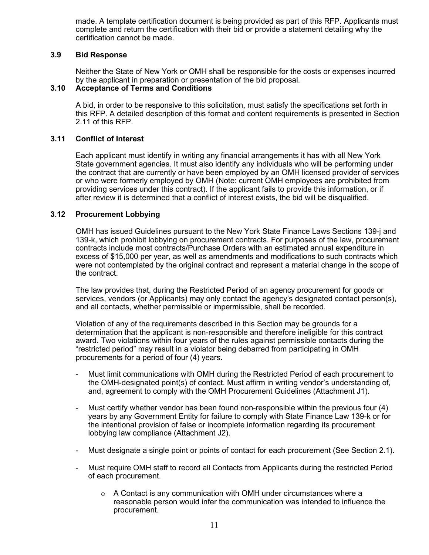made. A template certification document is being provided as part of this RFP. Applicants must complete and return the certification with their bid or provide a statement detailing why the certification cannot be made.

#### **3.9 Bid Response**

Neither the State of New York or OMH shall be responsible for the costs or expenses incurred by the applicant in preparation or presentation of the bid proposal.

#### **3.10 Acceptance of Terms and Conditions**

A bid, in order to be responsive to this solicitation, must satisfy the specifications set forth in this RFP. A detailed description of this format and content requirements is presented in Section 2.11 of this RFP.

#### **3.11 Conflict of Interest**

Each applicant must identify in writing any financial arrangements it has with all New York State government agencies. It must also identify any individuals who will be performing under the contract that are currently or have been employed by an OMH licensed provider of services or who were formerly employed by OMH (Note: current OMH employees are prohibited from providing services under this contract). If the applicant fails to provide this information, or if after review it is determined that a conflict of interest exists, the bid will be disqualified.

#### **3.12 Procurement Lobbying**

OMH has issued Guidelines pursuant to the New York State Finance Laws Sections 139-j and 139-k, which prohibit lobbying on procurement contracts. For purposes of the law, procurement contracts include most contracts/Purchase Orders with an estimated annual expenditure in excess of \$15,000 per year, as well as amendments and modifications to such contracts which were not contemplated by the original contract and represent a material change in the scope of the contract.

The law provides that, during the Restricted Period of an agency procurement for goods or services, vendors (or Applicants) may only contact the agency's designated contact person(s), and all contacts, whether permissible or impermissible, shall be recorded.

Violation of any of the requirements described in this Section may be grounds for a determination that the applicant is non-responsible and therefore ineligible for this contract award. Two violations within four years of the rules against permissible contacts during the "restricted period" may result in a violator being debarred from participating in OMH procurements for a period of four (4) years.

- Must limit communications with OMH during the Restricted Period of each procurement to the OMH-designated point(s) of contact. Must affirm in writing vendor's understanding of, and, agreement to comply with the OMH Procurement Guidelines (Attachment J1).
- Must certify whether vendor has been found non-responsible within the previous four (4) years by any Government Entity for failure to comply with State Finance Law 139-k or for the intentional provision of false or incomplete information regarding its procurement lobbying law compliance (Attachment J2).
- Must designate a single point or points of contact for each procurement (See Section 2.1).
- Must require OMH staff to record all Contacts from Applicants during the restricted Period of each procurement.
	- $\circ$  A Contact is any communication with OMH under circumstances where a reasonable person would infer the communication was intended to influence the procurement.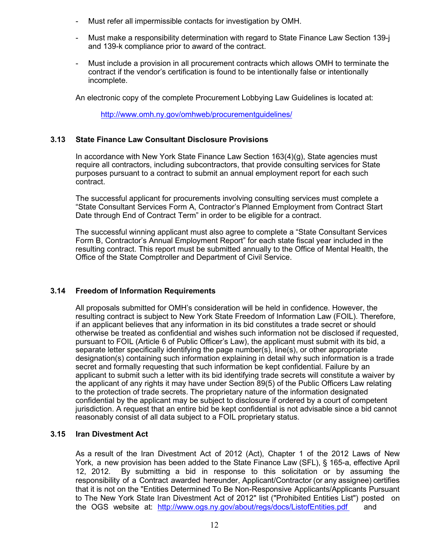- Must refer all impermissible contacts for investigation by OMH.
- Must make a responsibility determination with regard to State Finance Law Section 139-j and 139-k compliance prior to award of the contract.
- Must include a provision in all procurement contracts which allows OMH to terminate the contract if the vendor's certification is found to be intentionally false or intentionally incomplete.

An electronic copy of the complete Procurement Lobbying Law Guidelines is located at:

<http://www.omh.ny.gov/omhweb/procurementguidelines/>

## **3.13 State Finance Law Consultant Disclosure Provisions**

In accordance with New York State Finance Law Section 163(4)(g), State agencies must require all contractors, including subcontractors, that provide consulting services for State purposes pursuant to a contract to submit an annual employment report for each such contract.

The successful applicant for procurements involving consulting services must complete a "State Consultant Services Form A, Contractor's Planned Employment from Contract Start Date through End of Contract Term" in order to be eligible for a contract.

The successful winning applicant must also agree to complete a "State Consultant Services Form B, Contractor's Annual Employment Report" for each state fiscal year included in the resulting contract. This report must be submitted annually to the Office of Mental Health, the Office of the State Comptroller and Department of Civil Service.

## **3.14 Freedom of Information Requirements**

All proposals submitted for OMH's consideration will be held in confidence. However, the resulting contract is subject to New York State Freedom of Information Law (FOIL). Therefore, if an applicant believes that any information in its bid constitutes a trade secret or should otherwise be treated as confidential and wishes such information not be disclosed if requested, pursuant to FOIL (Article 6 of Public Officer's Law), the applicant must submit with its bid, a separate letter specifically identifying the page number(s), line(s), or other appropriate designation(s) containing such information explaining in detail why such information is a trade secret and formally requesting that such information be kept confidential. Failure by an applicant to submit such a letter with its bid identifying trade secrets will constitute a waiver by the applicant of any rights it may have under Section 89(5) of the Public Officers Law relating to the protection of trade secrets. The proprietary nature of the information designated confidential by the applicant may be subject to disclosure if ordered by a court of competent jurisdiction. A request that an entire bid be kept confidential is not advisable since a bid cannot reasonably consist of all data subject to a FOIL proprietary status.

## **3.15 Iran Divestment Act**

As a result of the Iran Divestment Act of 2012 (Act), Chapter 1 of the 2012 Laws of New York, a new provision has been added to the State Finance Law (SFL), § 165-a, effective April 12, 2012. By submitting a bid in response to this solicitation or by assuming the responsibility of a Contract awarded hereunder, Applicant/Contractor (or any assignee) certifies that it is not on the "Entities Determined To Be Non-Responsive Applicants/Applicants Pursuant to The New York State Iran Divestment Act of 2012" list ("Prohibited Entities List") posted on the OGS website at: [http://www.ogs.ny.gov/about/regs/docs/ListofEntities.pdf a](http://www.ogs.ny.gov/about/regs/docs/ListofEntities.pdf)nd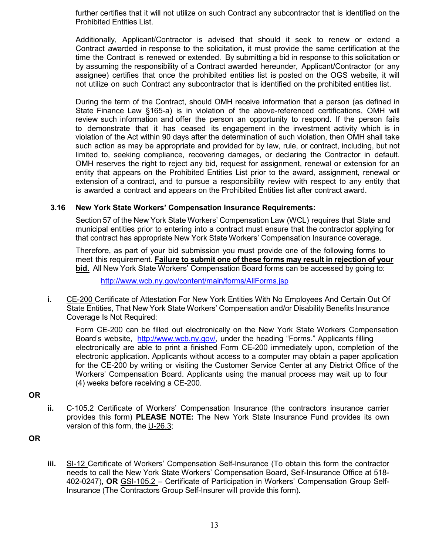further certifies that it will not utilize on such Contract any subcontractor that is identified on the Prohibited Entities List.

Additionally, Applicant/Contractor is advised that should it seek to renew or extend a Contract awarded in response to the solicitation, it must provide the same certification at the time the Contract is renewed or extended. By submitting a bid in response to this solicitation or by assuming the responsibility of a Contract awarded hereunder, Applicant/Contractor (or any assignee) certifies that once the prohibited entities list is posted on the OGS website, it will not utilize on such Contract any subcontractor that is identified on the prohibited entities list.

During the term of the Contract, should OMH receive information that a person (as defined in State Finance Law §165-a) is in violation of the above-referenced certifications, OMH will review such information and offer the person an opportunity to respond. If the person fails to demonstrate that it has ceased its engagement in the investment activity which is in violation of the Act within 90 days after the determination of such violation, then OMH shall take such action as may be appropriate and provided for by law, rule, or contract, including, but not limited to, seeking compliance, recovering damages, or declaring the Contractor in default. OMH reserves the right to reject any bid, request for assignment, renewal or extension for an entity that appears on the Prohibited Entities List prior to the award, assignment, renewal or extension of a contract, and to pursue a responsibility review with respect to any entity that is awarded a contract and appears on the Prohibited Entities list after contract award.

#### **3.16 New York State Workers' Compensation Insurance Requirements:**

Section 57 of the New York State Workers' Compensation Law (WCL) requires that State and municipal entities prior to entering into a contract must ensure that the contractor applying for that contract has appropriate New York State Workers' Compensation Insurance coverage.

Therefore, as part of your bid submission you must provide one of the following forms to meet this requirement. **Failure to submit one of these forms may result in rejection of your bid.**All New York State Workers' Compensation Board forms can be accessed by going to:

<http://www.wcb.ny.gov/content/main/forms/AllForms.jsp>

**i.** CE-200 Certificate of Attestation For New York Entities With No Employees And Certain Out Of State Entities, That New York State Workers' Compensation and/or Disability Benefits Insurance Coverage Is Not Required:

Form CE-200 can be filled out electronically on the New York State Workers Compensation Board's website, [http://www.wcb.ny.gov/,](http://www.wcb.ny.gov/) under the heading "Forms." Applicants filling electronically are able to print a finished Form CE-200 immediately upon, completion of the electronic application. Applicants without access to a computer may obtain a paper application for the CE-200 by writing or visiting the Customer Service Center at any District Office of the Workers' Compensation Board. Applicants using the manual process may wait up to four (4) weeks before receiving a CE-200.

**OR**

**ii.** C-105.2 Certificate of Workers' Compensation Insurance (the contractors insurance carrier provides this form) **PLEASE NOTE:** The New York State Insurance Fund provides its own version of this form, the U-26.3;

**OR**

**iii.** SI-12 Certificate of Workers' Compensation Self-Insurance (To obtain this form the contractor needs to call the New York State Workers' Compensation Board, Self-Insurance Office at 518- 402-0247), **OR** GSI-105.2 – Certificate of Participation in Workers' Compensation Group Self-Insurance (The Contractors Group Self-Insurer will provide this form).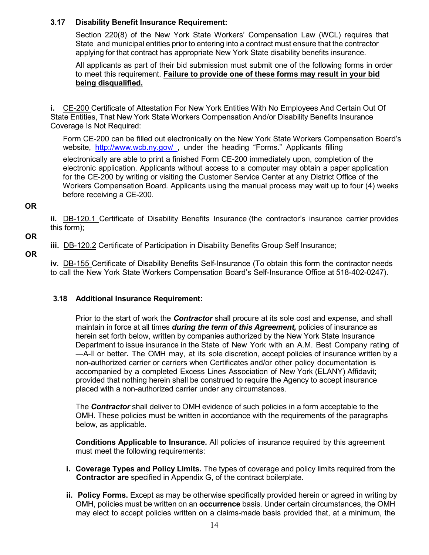## **3.17 Disability Benefit Insurance Requirement:**

Section 220(8) of the New York State Workers' Compensation Law (WCL) requires that State and municipal entities prior to entering into a contract must ensure that the contractor applying for that contract has appropriate New York State disability benefits insurance.

All applicants as part of their bid submission must submit one of the following forms in order to meet this requirement. **Failure to provide one of these forms may result in your bid being disqualified.**

**i.** CE-200 Certificate of Attestation For New York Entities With No Employees And Certain Out Of State Entities, That New York State Workers Compensation And/or Disability Benefits Insurance Coverage Is Not Required:

Form CE-200 can be filled out electronically on the New York State Workers Compensation Board's website, [http://www.wcb.ny.gov/ ,](http://www.wcb.ny.gov/) under the heading "Forms." Applicants filling electronically are able to print a finished Form CE-200 immediately upon, completion of the electronic application. Applicants without access to a computer may obtain a paper application for the CE-200 by writing or visiting the Customer Service Center at any District Office of the Workers Compensation Board. Applicants using the manual process may wait up to four (4) weeks before receiving a CE-200.

**OR**

**ii.** DB-120.1 Certificate of Disability Benefits Insurance (the contractor's insurance carrier provides this form);

**OR**

**iii.** DB-120.2 Certificate of Participation in Disability Benefits Group Self Insurance;

**OR**

**iv**. DB-155 Certificate of Disability Benefits Self-Insurance (To obtain this form the contractor needs to call the New York State Workers Compensation Board's Self-Insurance Office at 518-402-0247).

## **3.18 Additional Insurance Requirement:**

Prior to the start of work the *Contractor* shall procure at its sole cost and expense, and shall maintain in force at all times *during the term of this Agreement,* policies of insurance as herein set forth below, written by companies authorized by the New York State Insurance Department to issue insurance in the State of New York with an A.M. Best Company rating of ―A-‖ or better*.* The OMH may, at its sole discretion, accept policies of insurance written by a non-authorized carrier or carriers when Certificates and/or other policy documentation is accompanied by a completed Excess Lines Association of New York (ELANY) Affidavit; provided that nothing herein shall be construed to require the Agency to accept insurance placed with a non-authorized carrier under any circumstances.

The *Contractor* shall deliver to OMH evidence of such policies in a form acceptable to the OMH. These policies must be written in accordance with the requirements of the paragraphs below, as applicable.

**Conditions Applicable to Insurance.** All policies of insurance required by this agreement must meet the following requirements:

- **i. Coverage Types and Policy Limits.** The types of coverage and policy limits required from the  **Contractor are** specified in Appendix G, of the contract boilerplate.
- **ii. Policy Forms.** Except as may be otherwise specifically provided herein or agreed in writing by OMH, policies must be written on an **occurrence** basis. Under certain circumstances, the OMH may elect to accept policies written on a claims-made basis provided that, at a minimum, the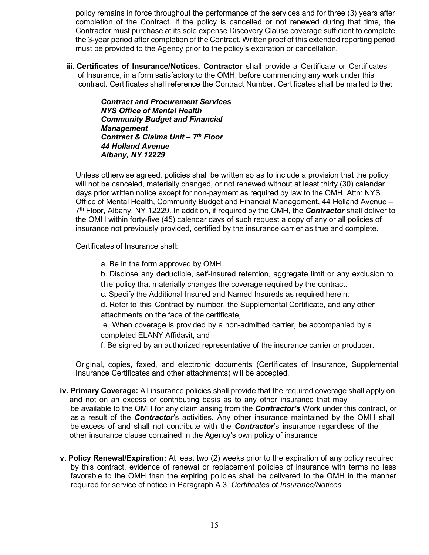policy remains in force throughout the performance of the services and for three (3) years after completion of the Contract. If the policy is cancelled or not renewed during that time, the Contractor must purchase at its sole expense Discovery Clause coverage sufficient to complete the 3-year period after completion of the Contract. Written proof of this extended reporting period must be provided to the Agency prior to the policy's expiration or cancellation.

**iii. Certificates of Insurance/Notices. Contractor** shall provide a Certificate or Certificates of Insurance, in a form satisfactory to the OMH, before commencing any work under this contract. Certificates shall reference the Contract Number. Certificates shall be mailed to the:

> *Contract and Procurement Services NYS Office of Mental Health Community Budget and Financial Management Contract & Claims Unit – 7th Floor 44 Holland Avenue Albany, NY 12229*

Unless otherwise agreed, policies shall be written so as to include a provision that the policy will not be canceled, materially changed, or not renewed without at least thirty (30) calendar days prior written notice except for non-payment as required by law to the OMH, Attn: NYS Office of Mental Health, Community Budget and Financial Management, 44 Holland Avenue – 7th Floor, Albany, NY 12229. In addition, if required by the OMH, the *Contractor* shall deliver to the OMH within forty-five (45) calendar days of such request a copy of any or all policies of insurance not previously provided, certified by the insurance carrier as true and complete.

Certificates of Insurance shall:

a. Be in the form approved by OMH.

b. Disclose any deductible, self-insured retention, aggregate limit or any exclusion to the policy that materially changes the coverage required by the contract.

c. Specify the Additional Insured and Named Insureds as required herein.

d. Refer to this Contract by number, the Supplemental Certificate, and any other attachments on the face of the certificate,

 e. When coverage is provided by a non-admitted carrier, be accompanied by a completed ELANY Affidavit, and

f. Be signed by an authorized representative of the insurance carrier or producer.

Original, copies, faxed, and electronic documents (Certificates of Insurance, Supplemental Insurance Certificates and other attachments) will be accepted.

- **iv. Primary Coverage:** All insurance policies shall provide that the required coverage shall apply on and not on an excess or contributing basis as to any other insurance that may be available to the OMH for any claim arising from the *Contractor's* Work under this contract, or as a result of the *Contractor*'s activities. Any other insurance maintained by the OMH shall be excess of and shall not contribute with the *Contractor*'s insurance regardless of the other insurance clause contained in the Agency's own policy of insurance
- **v. Policy Renewal/Expiration:** At least two (2) weeks prior to the expiration of any policy required by this contract, evidence of renewal or replacement policies of insurance with terms no less favorable to the OMH than the expiring policies shall be delivered to the OMH in the manner required for service of notice in Paragraph A.3. *Certificates of Insurance/Notices*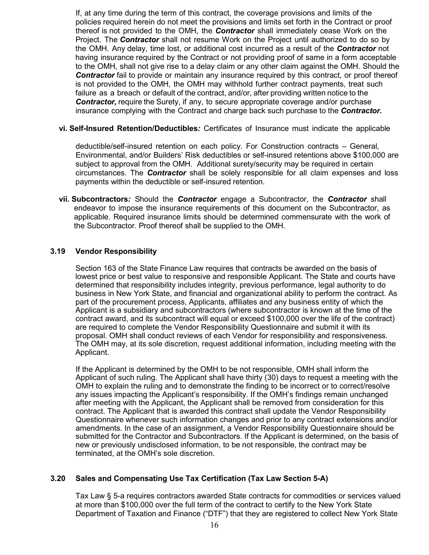If, at any time during the term of this contract, the coverage provisions and limits of the policies required herein do not meet the provisions and limits set forth in the Contract or proof thereof is not provided to the OMH, the *Contractor* shall immediately cease Work on the Project. The *Contractor* shall not resume Work on the Project until authorized to do so by the OMH. Any delay, time lost, or additional cost incurred as a result of the *Contractor* not having insurance required by the Contract or not providing proof of same in a form acceptable to the OMH, shall not give rise to a delay claim or any other claim against the OMH. Should the *Contractor* fail to provide or maintain any insurance required by this contract, or proof thereof is not provided to the OMH, the OMH may withhold further contract payments, treat such failure as a breach or default of the contract, and/or, after providing written notice to the *Contractor,* require the Surety, if any, to secure appropriate coverage and/or purchase insurance complying with the Contract and charge back such purchase to the *Contractor.*

### **vi. Self-Insured Retention/Deductibles***:* Certificates of Insurance must indicate the applicable

deductible/self-insured retention on each policy. For Construction contracts – General, Environmental, and/or Builders' Risk deductibles or self-insured retentions above \$100,000 are subject to approval from the OMH. Additional surety/security may be required in certain circumstances. The *Contractor* shall be solely responsible for all claim expenses and loss payments within the deductible or self-insured retention.

 **vii. Subcontractors***:* Should the *Contractor* engage a Subcontractor, the *Contractor* shall endeavor to impose the insurance requirements of this document on the Subcontractor, as applicable. Required insurance limits should be determined commensurate with the work of the Subcontractor. Proof thereof shall be supplied to the OMH.

## **3.19 Vendor Responsibility**

Section 163 of the State Finance Law requires that contracts be awarded on the basis of lowest price or best value to responsive and responsible Applicant. The State and courts have determined that responsibility includes integrity, previous performance, legal authority to do business in New York State, and financial and organizational ability to perform the contract. As part of the procurement process, Applicants, affiliates and any business entity of which the Applicant is a subsidiary and subcontractors (where subcontractor is known at the time of the contract award, and its subcontract will equal or exceed \$100,000 over the life of the contract) are required to complete the Vendor Responsibility Questionnaire and submit it with its proposal. OMH shall conduct reviews of each Vendor for responsibility and responsiveness. The OMH may, at its sole discretion, request additional information, including meeting with the Applicant.

If the Applicant is determined by the OMH to be not responsible, OMH shall inform the Applicant of such ruling. The Applicant shall have thirty (30) days to request a meeting with the OMH to explain the ruling and to demonstrate the finding to be incorrect or to correct/resolve any issues impacting the Applicant's responsibility. If the OMH's findings remain unchanged after meeting with the Applicant, the Applicant shall be removed from consideration for this contract. The Applicant that is awarded this contract shall update the Vendor Responsibility Questionnaire whenever such information changes and prior to any contract extensions and/or amendments. In the case of an assignment, a Vendor Responsibility Questionnaire should be submitted for the Contractor and Subcontractors. If the Applicant is determined, on the basis of new or previously undisclosed information, to be not responsible, the contract may be terminated, at the OMH's sole discretion.

## **3.20 Sales and Compensating Use Tax Certification (Tax Law Section 5-A)**

Tax Law § 5-a requires contractors awarded State contracts for commodities or services valued at more than \$100,000 over the full term of the contract to certify to the New York State Department of Taxation and Finance ("DTF") that they are registered to collect New York State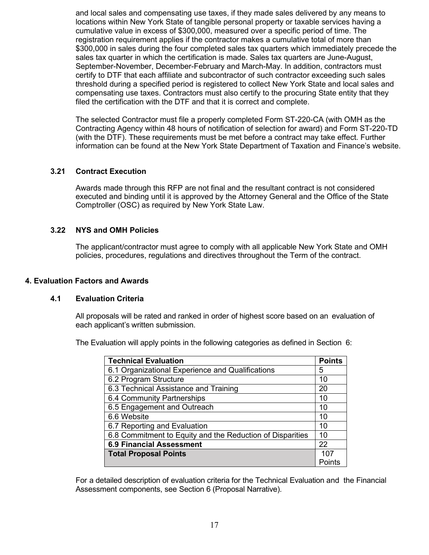and local sales and compensating use taxes, if they made sales delivered by any means to locations within New York State of tangible personal property or taxable services having a cumulative value in excess of \$300,000, measured over a specific period of time. The registration requirement applies if the contractor makes a cumulative total of more than \$300,000 in sales during the four completed sales tax quarters which immediately precede the sales tax quarter in which the certification is made. Sales tax quarters are June-August, September-November, December-February and March-May. In addition, contractors must certify to DTF that each affiliate and subcontractor of such contractor exceeding such sales threshold during a specified period is registered to collect New York State and local sales and compensating use taxes. Contractors must also certify to the procuring State entity that they filed the certification with the DTF and that it is correct and complete.

The selected Contractor must file a properly completed Form ST-220-CA (with OMH as the Contracting Agency within 48 hours of notification of selection for award) and Form ST-220-TD (with the DTF). These requirements must be met before a contract may take effect. Further information can be found at the New York State Department of Taxation and Finance's website.

#### **3.21 Contract Execution**

Awards made through this RFP are not final and the resultant contract is not considered executed and binding until it is approved by the Attorney General and the Office of the State Comptroller (OSC) as required by New York State Law.

#### **3.22 NYS and OMH Policies**

The applicant/contractor must agree to comply with all applicable New York State and OMH policies, procedures, regulations and directives throughout the Term of the contract.

#### **4. Evaluation Factors and Awards**

#### **4.1 Evaluation Criteria**

All proposals will be rated and ranked in order of highest score based on an evaluation of each applicant's written submission.

The Evaluation will apply points in the following categories as defined in Section 6:

| <b>Technical Evaluation</b>                               | <b>Points</b> |  |
|-----------------------------------------------------------|---------------|--|
| 6.1 Organizational Experience and Qualifications          | 5             |  |
| 6.2 Program Structure                                     | 10            |  |
| 6.3 Technical Assistance and Training                     | 20            |  |
| 6.4 Community Partnerships                                | 10            |  |
| 6.5 Engagement and Outreach                               | 10            |  |
| 6.6 Website                                               | 10            |  |
| 6.7 Reporting and Evaluation                              | 10            |  |
| 6.8 Commitment to Equity and the Reduction of Disparities | 10            |  |
| <b>6.9 Financial Assessment</b>                           | 22            |  |
| <b>Total Proposal Points</b>                              |               |  |
|                                                           | Points        |  |

For a detailed description of evaluation criteria for the Technical Evaluation and the Financial Assessment components, see Section 6 (Proposal Narrative).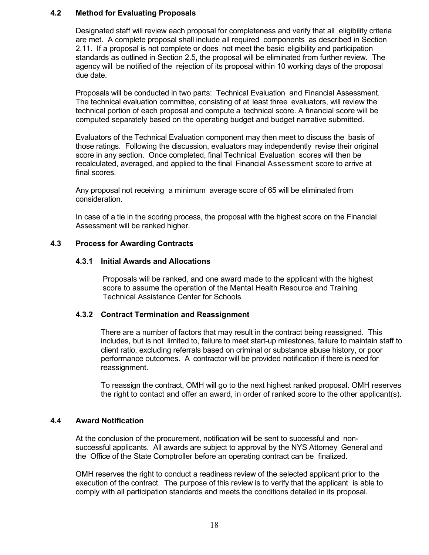## **4.2 Method for Evaluating Proposals**

Designated staff will review each proposal for completeness and verify that all eligibility criteria are met. A complete proposal shall include all required components as described in Section 2.11. If a proposal is not complete or does not meet the basic eligibility and participation standards as outlined in Section 2.5, the proposal will be eliminated from further review. The agency will be notified of the rejection of its proposal within 10 working days of the proposal due date.

Proposals will be conducted in two parts: Technical Evaluation and Financial Assessment. The technical evaluation committee, consisting of at least three evaluators, will review the technical portion of each proposal and compute a technical score. A financial score will be computed separately based on the operating budget and budget narrative submitted.

Evaluators of the Technical Evaluation component may then meet to discuss the basis of those ratings. Following the discussion, evaluators may independently revise their original score in any section. Once completed, final Technical Evaluation scores will then be recalculated, averaged, and applied to the final Financial Assessment score to arrive at final scores.

Any proposal not receiving a minimum average score of 65 will be eliminated from consideration.

In case of a tie in the scoring process, the proposal with the highest score on the Financial Assessment will be ranked higher.

#### **4.3 Process for Awarding Contracts**

#### **4.3.1 Initial Awards and Allocations**

Proposals will be ranked, and one award made to the applicant with the highest score to assume the operation of the Mental Health Resource and Training Technical Assistance Center for Schools

## **4.3.2 Contract Termination and Reassignment**

There are a number of factors that may result in the contract being reassigned. This includes, but is not limited to, failure to meet start-up milestones, failure to maintain staff to client ratio, excluding referrals based on criminal or substance abuse history, or poor performance outcomes. A contractor will be provided notification if there is need for reassignment.

To reassign the contract, OMH will go to the next highest ranked proposal. OMH reserves the right to contact and offer an award, in order of ranked score to the other applicant(s).

#### **4.4 Award Notification**

At the conclusion of the procurement, notification will be sent to successful and nonsuccessful applicants. All awards are subject to approval by the NYS Attorney General and the Office of the State Comptroller before an operating contract can be finalized.

OMH reserves the right to conduct a readiness review of the selected applicant prior to the execution of the contract. The purpose of this review is to verify that the applicant is able to comply with all participation standards and meets the conditions detailed in its proposal.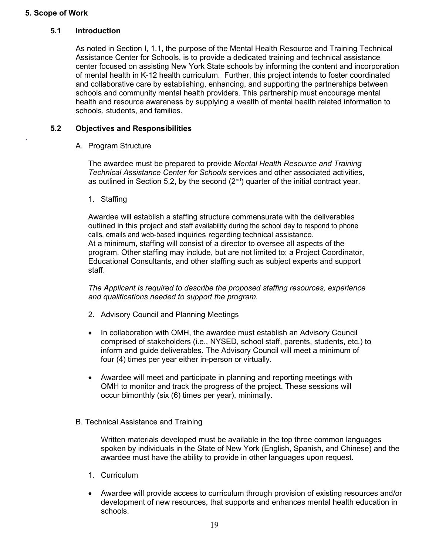## **5. Scope of Work**

.

## **5.1 Introduction**

As noted in Section I, 1.1, the purpose of the Mental Health Resource and Training Technical Assistance Center for Schools, is to provide a dedicated training and technical assistance center focused on assisting New York State schools by informing the content and incorporation of mental health in K-12 health curriculum. Further, this project intends to foster coordinated and collaborative care by establishing, enhancing, and supporting the partnerships between schools and community mental health providers. This partnership must encourage mental health and resource awareness by supplying a wealth of mental health related information to schools, students, and families.

#### **5.2 Objectives and Responsibilities**

A. Program Structure

The awardee must be prepared to provide *Mental Health Resource and Training Technical Assistance Center for Schools* services and other associated activities, as outlined in Section 5.2, by the second  $(2<sup>nd</sup>)$  quarter of the initial contract year.

1. Staffing

Awardee will establish a staffing structure commensurate with the deliverables outlined in this project and staff availability during the school day to respond to phone calls, emails and web-based inquiries regarding technical assistance. At a minimum, staffing will consist of a director to oversee all aspects of the program. Other staffing may include, but are not limited to: a Project Coordinator, Educational Consultants, and other staffing such as subject experts and support staff.

*The Applicant is required to describe the proposed staffing resources, experience and qualifications needed to support the program.* 

- 2. Advisory Council and Planning Meetings
- In collaboration with OMH, the awardee must establish an Advisory Council comprised of stakeholders (i.e., NYSED, school staff, parents, students, etc.) to inform and guide deliverables. The Advisory Council will meet a minimum of four (4) times per year either in-person or virtually.
- Awardee will meet and participate in planning and reporting meetings with OMH to monitor and track the progress of the project. These sessions will occur bimonthly (six (6) times per year), minimally.
- B. Technical Assistance and Training

Written materials developed must be available in the top three common languages spoken by individuals in the State of New York (English, Spanish, and Chinese) and the awardee must have the ability to provide in other languages upon request.

- 1. Curriculum
- Awardee will provide access to curriculum through provision of existing resources and/or development of new resources, that supports and enhances mental health education in schools.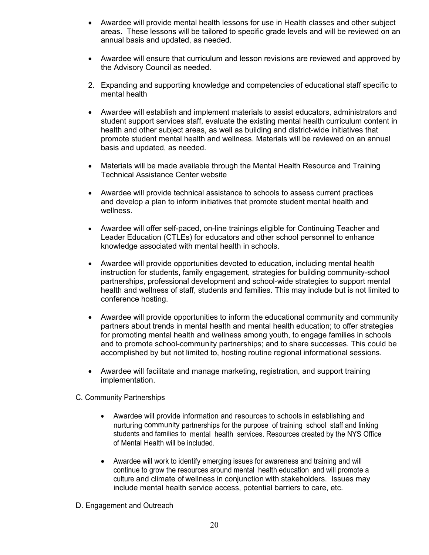- Awardee will provide mental health lessons for use in Health classes and other subject areas. These lessons will be tailored to specific grade levels and will be reviewed on an annual basis and updated, as needed.
- Awardee will ensure that curriculum and lesson revisions are reviewed and approved by the Advisory Council as needed.
- 2. Expanding and supporting knowledge and competencies of educational staff specific to mental health
- Awardee will establish and implement materials to assist educators, administrators and student support services staff, evaluate the existing mental health curriculum content in health and other subject areas, as well as building and district-wide initiatives that promote student mental health and wellness. Materials will be reviewed on an annual basis and updated, as needed.
- Materials will be made available through the Mental Health Resource and Training Technical Assistance Center website
- Awardee will provide technical assistance to schools to assess current practices and develop a plan to inform initiatives that promote student mental health and wellness.
- Awardee will offer self-paced, on-line trainings eligible for Continuing Teacher and Leader Education (CTLEs) for educators and other school personnel to enhance knowledge associated with mental health in schools.
- Awardee will provide opportunities devoted to education, including mental health instruction for students, family engagement, strategies for building community-school partnerships, professional development and school-wide strategies to support mental health and wellness of staff, students and families. This may include but is not limited to conference hosting.
- Awardee will provide opportunities to inform the educational community and community partners about trends in mental health and mental health education; to offer strategies for promoting mental health and wellness among youth, to engage families in schools and to promote school-community partnerships; and to share successes. This could be accomplished by but not limited to, hosting routine regional informational sessions.
- Awardee will facilitate and manage marketing, registration, and support training implementation.
- C. Community Partnerships
	- Awardee will provide information and resources to schools in establishing and nurturing community partnerships for the purpose of training school staff and linking students and families to mental health services. Resources created by the NYS Office of Mental Health will be included.
	- Awardee will work to identify emerging issues for awareness and training and will continue to grow the resources around mental health education and will promote a culture and climate of wellness in conjunction with stakeholders. Issues may include mental health service access, potential barriers to care, etc.
- D. Engagement and Outreach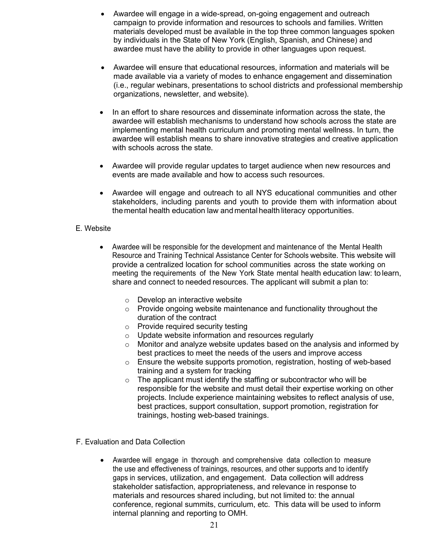- Awardee will engage in a wide-spread, on-going engagement and outreach campaign to provide information and resources to schools and families. Written materials developed must be available in the top three common languages spoken by individuals in the State of New York (English, Spanish, and Chinese) and awardee must have the ability to provide in other languages upon request.
- Awardee will ensure that educational resources, information and materials will be made available via a variety of modes to enhance engagement and dissemination (i.e., regular webinars, presentations to school districts and professional membership organizations, newsletter, and website).
- In an effort to share resources and disseminate information across the state, the awardee will establish mechanisms to understand how schools across the state are implementing mental health curriculum and promoting mental wellness. In turn, the awardee will establish means to share innovative strategies and creative application with schools across the state.
- Awardee will provide regular updates to target audience when new resources and events are made available and how to access such resources.
- Awardee will engage and outreach to all NYS educational communities and other stakeholders, including parents and youth to provide them with information about the mental health education law and mental health literacy opportunities.

## E. Website

- Awardee will be responsible for the development and maintenance of the Mental Health Resource and Training Technical Assistance Center for Schools website. This website will provide a centralized location for school communities across the state working on meeting the requirements of the New York State mental health education law: to learn, share and connect to needed resources. The applicant will submit a plan to:
	- o Develop an interactive website
	- o Provide ongoing website maintenance and functionality throughout the duration of the contract
	- $\circ$  Provide required security testing
	- o Update website information and resources regularly
	- $\circ$  Monitor and analyze website updates based on the analysis and informed by best practices to meet the needs of the users and improve access
	- $\circ$  Ensure the website supports promotion, registration, hosting of web-based training and a system for tracking
	- $\circ$  The applicant must identify the staffing or subcontractor who will be responsible for the website and must detail their expertise working on other projects. Include experience maintaining websites to reflect analysis of use, best practices, support consultation, support promotion, registration for trainings, hosting web-based trainings.
- F. Evaluation and Data Collection
	- Awardee will engage in thorough and comprehensive data collection to measure the use and effectiveness of trainings, resources, and other supports and to identify gaps in services, utilization, and engagement. Data collection will address stakeholder satisfaction, appropriateness, and relevance in response to materials and resources shared including, but not limited to: the annual conference, regional summits, curriculum, etc. This data will be used to inform internal planning and reporting to OMH.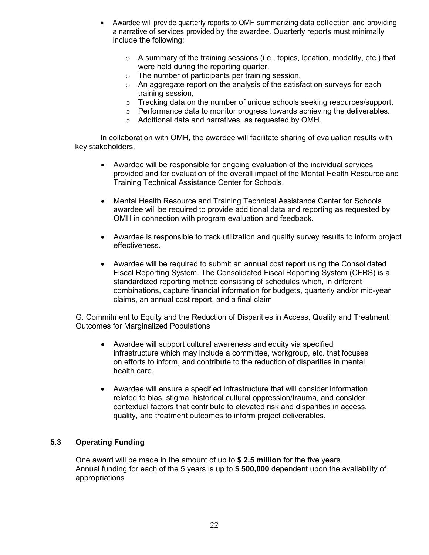- Awardee will provide quarterly reports to OMH summarizing data collection and providing a narrative of services provided by the awardee. Quarterly reports must minimally include the following:
	- o A summary of the training sessions (i.e., topics, location, modality, etc.) that were held during the reporting quarter,
	- o The number of participants per training session,
	- $\circ$  An aggregate report on the analysis of the satisfaction surveys for each training session,
	- $\circ$  Tracking data on the number of unique schools seeking resources/support,
	- $\circ$  Performance data to monitor progress towards achieving the deliverables.
	- o Additional data and narratives, as requested by OMH.

In collaboration with OMH, the awardee will facilitate sharing of evaluation results with key stakeholders.

- Awardee will be responsible for ongoing evaluation of the individual services provided and for evaluation of the overall impact of the Mental Health Resource and Training Technical Assistance Center for Schools.
- Mental Health Resource and Training Technical Assistance Center for Schools awardee will be required to provide additional data and reporting as requested by OMH in connection with program evaluation and feedback.
- Awardee is responsible to track utilization and quality survey results to inform project effectiveness.
- Awardee will be required to submit an annual cost report using the Consolidated Fiscal Reporting System. The Consolidated Fiscal Reporting System (CFRS) is a standardized reporting method consisting of schedules which, in different combinations, capture financial information for budgets, quarterly and/or mid-year claims, an annual cost report, and a final claim

G. Commitment to Equity and the Reduction of Disparities in Access, Quality and Treatment Outcomes for Marginalized Populations

- Awardee will support cultural awareness and equity via specified infrastructure which may include a committee, workgroup, etc. that focuses on efforts to inform, and contribute to the reduction of disparities in mental health care.
- Awardee will ensure a specified infrastructure that will consider information related to bias, stigma, historical cultural oppression/trauma, and consider contextual factors that contribute to elevated risk and disparities in access, quality, and treatment outcomes to inform project deliverables.

## **5.3 Operating Funding**

One award will be made in the amount of up to **\$ 2.5 million** for the five years. Annual funding for each of the 5 years is up to **\$ 500,000** dependent upon the availability of appropriations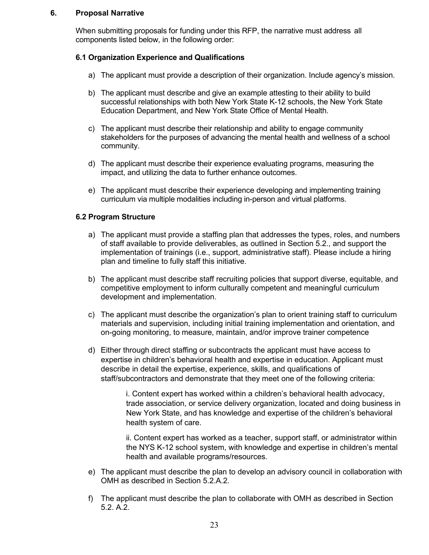#### **6. Proposal Narrative**

When submitting proposals for funding under this RFP, the narrative must address all components listed below, in the following order:

#### **6.1 Organization Experience and Qualifications**

- a) The applicant must provide a description of their organization. Include agency's mission.
- b) The applicant must describe and give an example attesting to their ability to build successful relationships with both New York State K-12 schools, the New York State Education Department, and New York State Office of Mental Health.
- c) The applicant must describe their relationship and ability to engage community stakeholders for the purposes of advancing the mental health and wellness of a school community.
- d) The applicant must describe their experience evaluating programs, measuring the impact, and utilizing the data to further enhance outcomes.
- e) The applicant must describe their experience developing and implementing training curriculum via multiple modalities including in-person and virtual platforms.

#### **6.2 Program Structure**

- a) The applicant must provide a staffing plan that addresses the types, roles, and numbers of staff available to provide deliverables, as outlined in Section 5.2., and support the implementation of trainings (i.e., support, administrative staff). Please include a hiring plan and timeline to fully staff this initiative.
- b) The applicant must describe staff recruiting policies that support diverse, equitable, and competitive employment to inform culturally competent and meaningful curriculum development and implementation.
- c) The applicant must describe the organization's plan to orient training staff to curriculum materials and supervision, including initial training implementation and orientation, and on-going monitoring, to measure, maintain, and/or improve trainer competence
- d) Either through direct staffing or subcontracts the applicant must have access to expertise in children's behavioral health and expertise in education. Applicant must describe in detail the expertise, experience, skills, and qualifications of staff/subcontractors and demonstrate that they meet one of the following criteria:

i. Content expert has worked within a children's behavioral health advocacy, trade association, or service delivery organization, located and doing business in New York State, and has knowledge and expertise of the children's behavioral health system of care.

ii. Content expert has worked as a teacher, support staff, or administrator within the NYS K-12 school system, with knowledge and expertise in children's mental health and available programs/resources.

- e) The applicant must describe the plan to develop an advisory council in collaboration with OMH as described in Section 5.2.A.2.
- f) The applicant must describe the plan to collaborate with OMH as described in Section 5.2. A.2.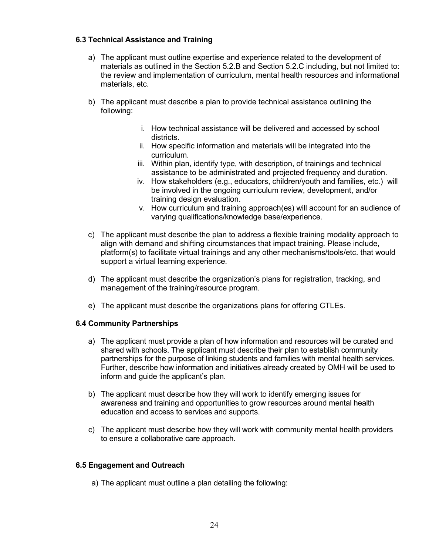### **6.3 Technical Assistance and Training**

- a) The applicant must outline expertise and experience related to the development of materials as outlined in the Section 5.2.B and Section 5.2.C including, but not limited to: the review and implementation of curriculum, mental health resources and informational materials, etc.
- b) The applicant must describe a plan to provide technical assistance outlining the following:
	- i. How technical assistance will be delivered and accessed by school districts.
	- ii. How specific information and materials will be integrated into the curriculum.
	- iii. Within plan, identify type, with description, of trainings and technical assistance to be administrated and projected frequency and duration.
	- iv. How stakeholders (e.g., educators, children/youth and families, etc.) will be involved in the ongoing curriculum review, development, and/or training design evaluation.
	- v. How curriculum and training approach(es) will account for an audience of varying qualifications/knowledge base/experience.
- c) The applicant must describe the plan to address a flexible training modality approach to align with demand and shifting circumstances that impact training. Please include, platform(s) to facilitate virtual trainings and any other mechanisms/tools/etc. that would support a virtual learning experience.
- d) The applicant must describe the organization's plans for registration, tracking, and management of the training/resource program.
- e) The applicant must describe the organizations plans for offering CTLEs.

#### **6.4 Community Partnerships**

- a) The applicant must provide a plan of how information and resources will be curated and shared with schools. The applicant must describe their plan to establish community partnerships for the purpose of linking students and families with mental health services. Further, describe how information and initiatives already created by OMH will be used to inform and guide the applicant's plan.
- b) The applicant must describe how they will work to identify emerging issues for awareness and training and opportunities to grow resources around mental health education and access to services and supports.
- c) The applicant must describe how they will work with community mental health providers to ensure a collaborative care approach.

#### **6.5 Engagement and Outreach**

a) The applicant must outline a plan detailing the following: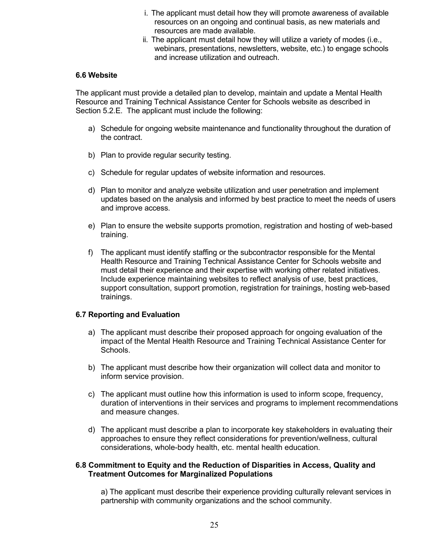- i. The applicant must detail how they will promote awareness of available resources on an ongoing and continual basis, as new materials and resources are made available.
- ii. The applicant must detail how they will utilize a variety of modes (i.e., webinars, presentations, newsletters, website, etc.) to engage schools and increase utilization and outreach.

#### **6.6 Website**

The applicant must provide a detailed plan to develop, maintain and update a Mental Health Resource and Training Technical Assistance Center for Schools website as described in Section 5.2.E. The applicant must include the following:

- a) Schedule for ongoing website maintenance and functionality throughout the duration of the contract.
- b) Plan to provide regular security testing.
- c) Schedule for regular updates of website information and resources.
- d) Plan to monitor and analyze website utilization and user penetration and implement updates based on the analysis and informed by best practice to meet the needs of users and improve access.
- e) Plan to ensure the website supports promotion, registration and hosting of web-based training.
- f) The applicant must identify staffing or the subcontractor responsible for the Mental Health Resource and Training Technical Assistance Center for Schools website and must detail their experience and their expertise with working other related initiatives. Include experience maintaining websites to reflect analysis of use, best practices, support consultation, support promotion, registration for trainings, hosting web-based trainings.

#### **6.7 Reporting and Evaluation**

- a) The applicant must describe their proposed approach for ongoing evaluation of the impact of the Mental Health Resource and Training Technical Assistance Center for Schools.
- b) The applicant must describe how their organization will collect data and monitor to inform service provision.
- c) The applicant must outline how this information is used to inform scope, frequency, duration of interventions in their services and programs to implement recommendations and measure changes.
- d) The applicant must describe a plan to incorporate key stakeholders in evaluating their approaches to ensure they reflect considerations for prevention/wellness, cultural considerations, whole-body health, etc. mental health education.

#### **6.8 Commitment to Equity and the Reduction of Disparities in Access, Quality and Treatment Outcomes for Marginalized Populations**

a) The applicant must describe their experience providing culturally relevant services in partnership with community organizations and the school community.